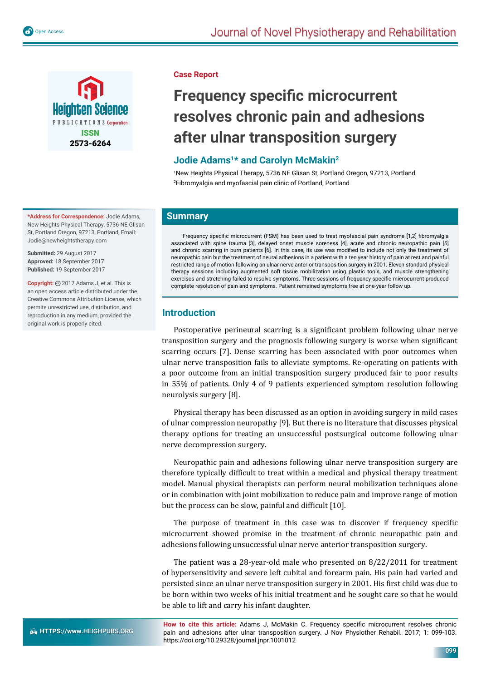

**\*Address for Correspondence:** Jodie Adams, New Heights Physical Therapy, 5736 NE Glisan St, Portland Oregon, 97213, Portland, Email: Jodie@newheightstherapy.com

**Submitted:** 29 August 2017 **Approved:** 18 September 2017 **Published:** 19 September 2017

Copyright: @ 2017 Adams J, et al. This is an open access article distributed under the Creative Commons Attribution License, which permits unrestricted use, distribution, and reproduction in any medium, provided the original work is properly cited.

### **Case Report**

# **Frequency specific microcurrent resolves chronic pain and adhesions after ulnar transposition surgery**

## Jodie Adams<sup>1\*</sup> and Carolyn McMakin<sup>2</sup>

1 New Heights Physical Therapy, 5736 NE Glisan St, Portland Oregon, 97213, Portland 2 Fibromyalgia and myofascial pain clinic of Portland, Portland

## **Summary**

Frequency specific microcurrent (FSM) has been used to treat myofascial pain syndrome [1,2] fibromyalgia associated with spine trauma [3], delayed onset muscle soreness [4], acute and chronic neuropathic pain [5] and chronic scarring in burn patients [6]. In this case, its use was modified to include not only the treatment of neuropathic pain but the treatment of neural adhesions in a patient with a ten year history of pain at rest and painful restricted range of motion following an ulnar nerve anterior transposition surgery in 2001. Eleven standard physical therapy sessions including augmented soft tissue mobilization using plastic tools, and muscle strengthening exercises and stretching failed to resolve symptoms. Three sessions of frequency specific microcurrent produced complete resolution of pain and symptoms. Patient remained symptoms free at one-year follow up.

## **Introduction**

Postoperative perineural scarring is a significant problem following ulnar nerve transposition surgery and the prognosis following surgery is worse when significant scarring occurs [7]. Dense scarring has been associated with poor outcomes when ulnar nerve transposition fails to alleviate symptoms. Re-operating on patients with a poor outcome from an initial transposition surgery produced fair to poor results in 55% of patients. Only 4 of 9 patients experienced symptom resolution following neurolysis surgery [8].

Physical therapy has been discussed as an option in avoiding surgery in mild cases of ulnar compression neuropathy [9]. But there is no literature that discusses physical therapy options for treating an unsuccessful postsurgical outcome following ulnar nerve decompression surgery.

Neuropathic pain and adhesions following ulnar nerve transposition surgery are therefore typically difficult to treat within a medical and physical therapy treatment model. Manual physical therapists can perform neural mobilization techniques alone or in combination with joint mobilization to reduce pain and improve range of motion but the process can be slow, painful and difficult  $[10]$ .

The purpose of treatment in this case was to discover if frequency specific microcurrent showed promise in the treatment of chronic neuropathic pain and adhesions following unsuccessful ulnar nerve anterior transposition surgery.

The patient was a 28-year-old male who presented on 8/22/2011 for treatment of hypersensitivity and severe left cubital and forearm pain. His pain had varied and persisted since an ulnar nerve transposition surgery in 2001. His first child was due to be born within two weeks of his initial treatment and he sought care so that he would be able to lift and carry his infant daughter.

How to cite this article: Adams J, McMakin C. Frequency specific microcurrent resolves chronic pain and adhesions after ulnar transposition surgery. J Nov Physiother Rehabil. 2017; 1: 099-103. https://doi.org/10.29328/journal.jnpr.1001012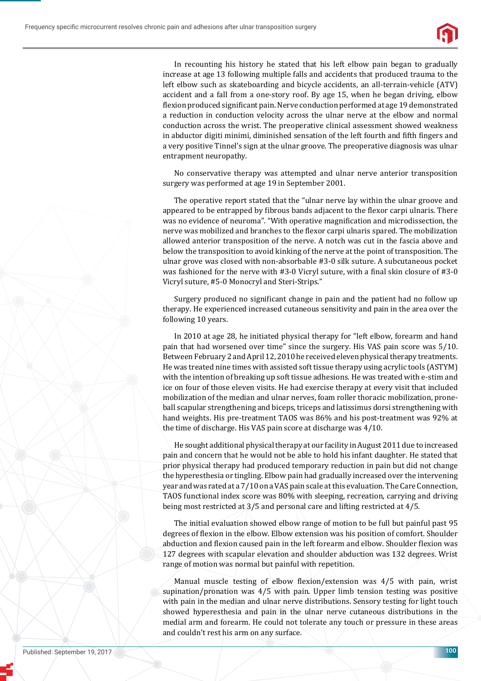

In recounting his history he stated that his left elbow pain began to gradually increase at age 13 following multiple falls and accidents that produced trauma to the left elbow such as skateboarding and bicycle accidents, an all-terrain-vehicle (ATV) accident and a fall from a one-story roof. By age 15, when he began driving, elbow flexion produced significant pain. Nerve conduction performed at age 19 demonstrated a reduction in conduction velocity across the ulnar nerve at the elbow and normal conduction across the wrist. The preoperative clinical assessment showed weakness in abductor digiti minimi, diminished sensation of the left fourth and fifth fingers and a very positive Tinnel's sign at the ulnar groove. The preoperative diagnosis was ulnar entrapment neuropathy.

No conservative therapy was attempted and ulnar nerve anterior transposition surgery was performed at age 19 in September 2001.

The operative report stated that the "ulnar nerve lay within the ulnar groove and appeared to be entrapped by fibrous bands adjacent to the flexor carpi ulnaris. There was no evidence of neuroma". "With operative magnification and microdissection, the nerve was mobilized and branches to the flexor carpi ulnaris spared. The mobilization allowed anterior transposition of the nerve. A notch was cut in the fascia above and below the transposition to avoid kinking of the nerve at the point of transposition. The ulnar grove was closed with non-absorbable #3-0 silk suture. A subcutaneous pocket was fashioned for the nerve with #3-0 Vicryl suture, with a final skin closure of #3-0 Vicryl suture, #5-0 Monocryl and Steri-Strips."

Surgery produced no significant change in pain and the patient had no follow up therapy. He experienced increased cutaneous sensitivity and pain in the area over the following 10 years.

In 2010 at age 28, he initiated physical therapy for "left elbow, forearm and hand pain that had worsened over time" since the surgery. His VAS pain score was 5/10. Between February 2 and April 12, 2010 he received eleven physical therapy treatments. He was treated nine times with assisted soft tissue therapy using acrylic tools (ASTYM) with the intention of breaking up soft tissue adhesions. He was treated with e-stim and ice on four of those eleven visits. He had exercise therapy at every visit that included mobilization of the median and ulnar nerves, foam roller thoracic mobilization, proneball scapular strengthening and biceps, triceps and latissimus dorsi strengthening with hand weights. His pre-treatment TAOS was 86% and his post-treatment was 92% at the time of discharge. His VAS pain score at discharge was 4/10.

He sought additional physical therapy at our facility in August 2011 due to increased pain and concern that he would not be able to hold his infant daughter. He stated that prior physical therapy had produced temporary reduction in pain but did not change the hyperesthesia or tingling. Elbow pain had gradually increased over the intervening year and was rated at a 7/10 on a VAS pain scale at this evaluation. The Care Connection, TAOS functional index score was 80% with sleeping, recreation, carrying and driving being most restricted at 3/5 and personal care and lifting restricted at 4/5.

The initial evaluation showed elbow range of motion to be full but painful past 95 degrees of flexion in the elbow. Elbow extension was his position of comfort. Shoulder abduction and flexion caused pain in the left forearm and elbow. Shoulder flexion was 127 degrees with scapular elevation and shoulder abduction was 132 degrees. Wrist range of motion was normal but painful with repetition.

Manual muscle testing of elbow flexion/extension was 4/5 with pain, wrist supination/pronation was 4/5 with pain. Upper limb tension testing was positive with pain in the median and ulnar nerve distributions. Sensory testing for light touch showed hyperesthesia and pain in the ulnar nerve cutaneous distributions in the medial arm and forearm. He could not tolerate any touch or pressure in these areas and couldn't rest his arm on any surface.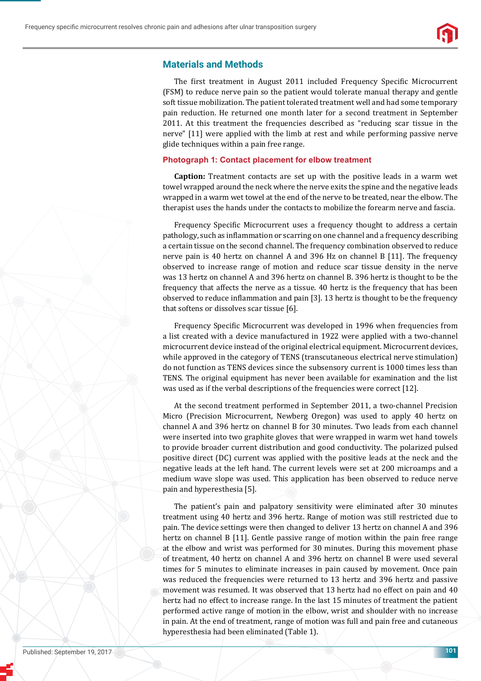

### **Materials and Methods**

The first treatment in August 2011 included Frequency Specific Microcurrent (FSM) to reduce nerve pain so the patient would tolerate manual therapy and gentle soft tissue mobilization. The patient tolerated treatment well and had some temporary pain reduction. He returned one month later for a second treatment in September 2011. At this treatment the frequencies described as "reducing scar tissue in the nerve" [11] were applied with the limb at rest and while performing passive nerve glide techniques within a pain free range.

#### **Photograph 1: Contact placement for elbow treatment**

**Caption:** Treatment contacts are set up with the positive leads in a warm wet towel wrapped around the neck where the nerve exits the spine and the negative leads wrapped in a warm wet towel at the end of the nerve to be treated, near the elbow. The therapist uses the hands under the contacts to mobilize the forearm nerve and fascia.

Frequency Specific Microcurrent uses a frequency thought to address a certain pathology, such as inflammation or scarring on one channel and a frequency describing a certain tissue on the second channel. The frequency combination observed to reduce nerve pain is 40 hertz on channel A and 396 Hz on channel B [11]. The frequency observed to increase range of motion and reduce scar tissue density in the nerve was 13 hertz on channel A and 396 hertz on channel B. 396 hertz is thought to be the frequency that affects the nerve as a tissue. 40 hertz is the frequency that has been observed to reduce inflammation and pain [3]. 13 hertz is thought to be the frequency that softens or dissolves scar tissue [6].

Frequency Specific Microcurrent was developed in 1996 when frequencies from a list created with a device manufactured in 1922 were applied with a two-channel microcurrent device instead of the original electrical equipment. Microcurrent devices, while approved in the category of TENS (transcutaneous electrical nerve stimulation) do not function as TENS devices since the subsensory current is 1000 times less than TENS. The original equipment has never been available for examination and the list was used as if the verbal descriptions of the frequencies were correct [12].

At the second treatment performed in September 2011, a two-channel Precision Micro (Precision Microcurrent, Newberg Oregon) was used to apply 40 hertz on channel A and 396 hertz on channel B for 30 minutes. Two leads from each channel were inserted into two graphite gloves that were wrapped in warm wet hand towels to provide broader current distribution and good conductivity. The polarized pulsed positive direct (DC) current was applied with the positive leads at the neck and the negative leads at the left hand. The current levels were set at 200 microamps and a medium wave slope was used. This application has been observed to reduce nerve pain and hyperesthesia [5].

The patient's pain and palpatory sensitivity were eliminated after 30 minutes treatment using 40 hertz and 396 hertz. Range of motion was still restricted due to pain. The device settings were then changed to deliver 13 hertz on channel A and 396 hertz on channel B [11]. Gentle passive range of motion within the pain free range at the elbow and wrist was performed for 30 minutes. During this movement phase of treatment, 40 hertz on channel A and 396 hertz on channel B were used several times for 5 minutes to eliminate increases in pain caused by movement. Once pain was reduced the frequencies were returned to 13 hertz and 396 hertz and passive movement was resumed. It was observed that 13 hertz had no effect on pain and 40 hertz had no effect to increase range. In the last 15 minutes of treatment the patient performed active range of motion in the elbow, wrist and shoulder with no increase in pain. At the end of treatment, range of motion was full and pain free and cutaneous hyperesthesia had been eliminated (Table 1).

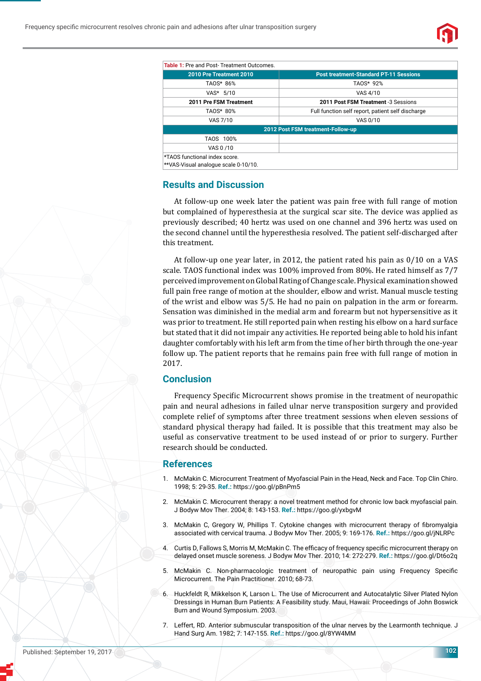

| <b>Table 1:</b> Pre and Post-Treatment Outcomes. |                                                   |
|--------------------------------------------------|---------------------------------------------------|
| 2010 Pre Treatment 2010                          | <b>Post treatment-Standard PT-11 Sessions</b>     |
| TAOS* 86%                                        | TAOS* 92%                                         |
| VAS* 5/10                                        | VAS 4/10                                          |
| 2011 Pre FSM Treatment                           | 2011 Post FSM Treatment -3 Sessions               |
| TAOS* 80%                                        | Full function self report, patient self discharge |
| VAS 7/10                                         | VAS 0/10                                          |
| 2012 Post FSM treatment-Follow-up                |                                                   |
| TAOS 100%                                        |                                                   |
| VAS 0/10                                         |                                                   |
| *TAOS functional index score.                    |                                                   |

\*\*VAS-Visual analogue scale 0-10/10.

#### **Results and Discussion**

At follow-up one week later the patient was pain free with full range of motion but complained of hyperesthesia at the surgical scar site. The device was applied as previously described; 40 hertz was used on one channel and 396 hertz was used on the second channel until the hyperesthesia resolved. The patient self-discharged after this treatment.

At follow-up one year later, in 2012, the patient rated his pain as 0/10 on a VAS scale. TAOS functional index was 100% improved from 80%. He rated himself as 7/7 perceived improvement on Global Rating of Change scale. Physical examination showed full pain free range of motion at the shoulder, elbow and wrist. Manual muscle testing of the wrist and elbow was 5/5. He had no pain on palpation in the arm or forearm. Sensation was diminished in the medial arm and forearm but not hypersensitive as it was prior to treatment. He still reported pain when resting his elbow on a hard surface but stated that it did not impair any activities. He reported being able to hold his infant daughter comfortably with his left arm from the time of her birth through the one-year follow up. The patient reports that he remains pain free with full range of motion in 2017.

#### **Conclusion**

Frequency Specific Microcurrent shows promise in the treatment of neuropathic pain and neural adhesions in failed ulnar nerve transposition surgery and provided complete relief of symptoms after three treatment sessions when eleven sessions of standard physical therapy had failed. It is possible that this treatment may also be useful as conservative treatment to be used instead of or prior to surgery. Further research should be conducted.

#### **References**

- 1. McMakin C. Microcurrent Treatment of Myofascial Pain in the Head, Neck and Face. Top Clin Chiro. 1998; 5: 29-35. **Ref.:** https://goo.gl/pBnPm5
- 2. McMakin C. Microcurrent therapy: a novel treatment method for chronic low back myofascial pain. J Bodyw Mov Ther. 2004; 8: 143-153. **Ref.:** https://goo.gl/yxbgvM
- 3. McMakin C, Gregory W, Phillips T, Cytokine changes with microcurrent therapy of fibromyalgia associated with cervical trauma. J Bodyw Mov Ther. 2005; 9: 169-176. **Ref.:** https://goo.gl/jNLRPc
- 4. Curtis D, Fallows S, Morris M, McMakin C, The efficacy of frequency specific microcurrent therapy on delayed onset muscle soreness. J Bodyw Mov Ther. 2010; 14: 272-279. **Ref.:** https://goo.gl/Dt6o2q
- 5. McMakin C. Non-pharmacologic treatment of neuropathic pain using Frequency Specific Microcurrent. The Pain Practitioner. 2010; 68-73.
- 6. Huckfeldt R, Mikkelson K, Larson L. The Use of Microcurrent and Autocatalytic Silver Plated Nylon Dressings in Human Burn Patients: A Feasibility study. Maui, Hawaii: Proceedings of John Boswick Burn and Wound Symposium. 2003.
- 7. Leffert, RD. Anterior submuscular transposition of the ulnar nerves by the Learmonth technique. J Hand Surg Am. 1982; 7: 147-155. **Ref.:** https://goo.gl/8YW4MM